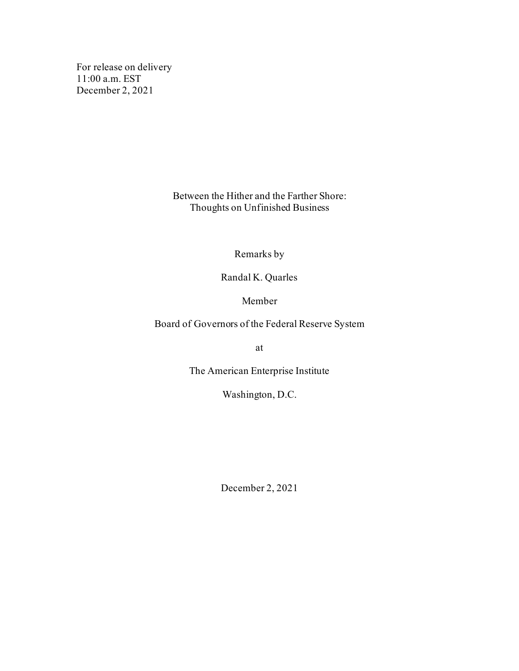For release on delivery 11:00 a.m. EST December 2, 2021

> Between the Hither and the Farther Shore: Thoughts on Unfinished Business

> > Remarks by

Randal K. Quarles

Member

Board of Governors of the Federal Reserve System

at

The American Enterprise Institute

Washington, D.C.

December 2, 2021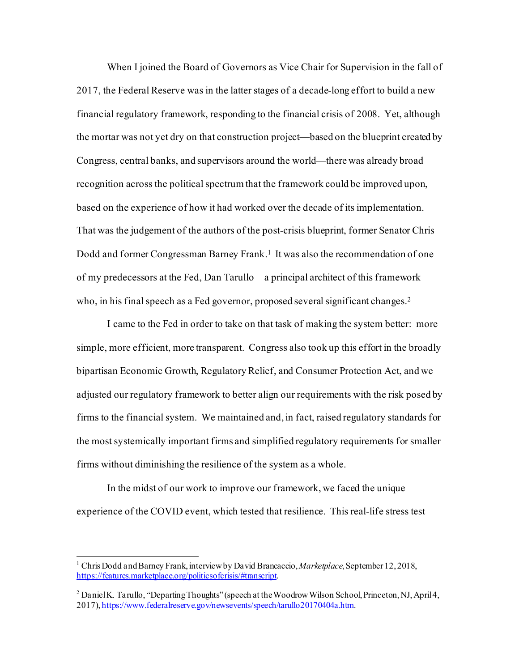When I joined the Board of Governors as Vice Chair for Supervision in the fall of 2017, the Federal Reserve was in the latter stages of a decade-long effort to build a new financial regulatory framework, responding to the financial crisis of 2008. Yet, although the mortar was not yet dry on that construction project—based on the blueprint created by Congress, central banks, and supervisors around the world—there was already broad recognition across the political spectrum that the framework could be improved upon, based on the experience of how it had worked over the decade of its implementation. That was the judgement of the authors of the post-crisis blueprint, former Senator Chris Dodd and former Congressman Barney Frank.<sup>[1](#page-1-0)</sup> It was also the recommendation of one of my predecessors at the Fed, Dan Tarullo—a principal architect of this framework— who, in his final speech as a Fed governor, proposed several significant changes.<sup>[2](#page-1-1)</sup>

I came to the Fed in order to take on that task of making the system better: more simple, more efficient, more transparent. Congress also took up this effort in the broadly bipartisan Economic Growth, Regulatory Relief, and Consumer Protection Act, and we adjusted our regulatory framework to better align our requirements with the risk posed by firms to the financial system. We maintained and, in fact, raised regulatory standards for the most systemically important firms and simplified regulatory requirements for smaller firms without diminishing the resilience of the system as a whole.

In the midst of our work to improve our framework, we faced the unique experience of the COVID event, which tested that resilience. This real-life stress test

<span id="page-1-0"></span><sup>1</sup> Chris Dodd andBarney Frank, interview by David Brancaccio, *Marketplace*,September 12, 2018, [https://features.marketplace.org/politicsofcrisis/#transcript](https://features.marketplace.org/politicsofcrisis/%23transcript).

<span id="page-1-1"></span><sup>&</sup>lt;sup>2</sup> Daniel K. Tarullo, "Departing Thoughts" (speech at the Woodrow Wilson School, Princeton, NJ, April 4, 2017[\), https://www.federalreserve.gov/newsevents/speech/tarullo20170404a.htm](https://www.federalreserve.gov/newsevents/speech/tarullo20170404a.htm).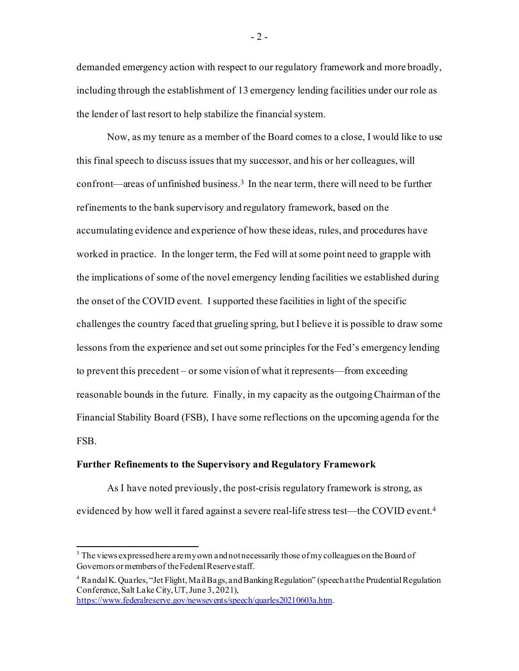demanded emergency action with respect to our regulatory framework and more broadly, including through the establishment of 13 emergency lending facilities under our role as the lender of last resort to help stabilize the financial system.

Now, as my tenure as a member of the Board comes to a close, I would like to use this final speech to discuss issues that my successor, and his or her colleagues, will confront—areas of unfinished business. [3](#page-2-0) In the near term, there will need to be further refinements to the bank supervisory and regulatory framework, based on the accumulating evidence and experience of how these ideas, rules, and procedures have worked in practice. In the longer term, the Fed will at some point need to grapple with the implications of some of the novel emergency lending facilities we established during the onset of the COVID event. I supported these facilities in light of the specific challenges the country faced that grueling spring, but I believe it is possible to draw some lessons from the experience and set out some principles for the Fed's emergency lending to prevent this precedent – or some vision of what it represents—from exceeding reasonable bounds in the future. Finally, in my capacity as the outgoing Chairman of the Financial Stability Board (FSB), I have some reflections on the upcoming agenda for the FSB.

#### **Further Refinements to the Supervisory and Regulatory Framework**

As I have noted previously, the post-crisis regulatory framework is strong, as evidenced by how well it fared against a severe real-life stress test—the COVID event[.4](#page-2-1)

 $-2-$ 

<span id="page-2-0"></span> $3$  The views expressed here are my own and not necessarily those of my colleagues on the Board of Governors or members of the Federal Reserve staff.

<span id="page-2-1"></span><sup>4</sup> Randal K. Quarles, "Jet Flight, Mail Bags, and Banking Regulation" (speech at the Prudential Regulation Conference, Salt Lake City, UT, June 3, 2021),

<https://www.federalreserve.gov/newsevents/speech/quarles20210603a.htm>.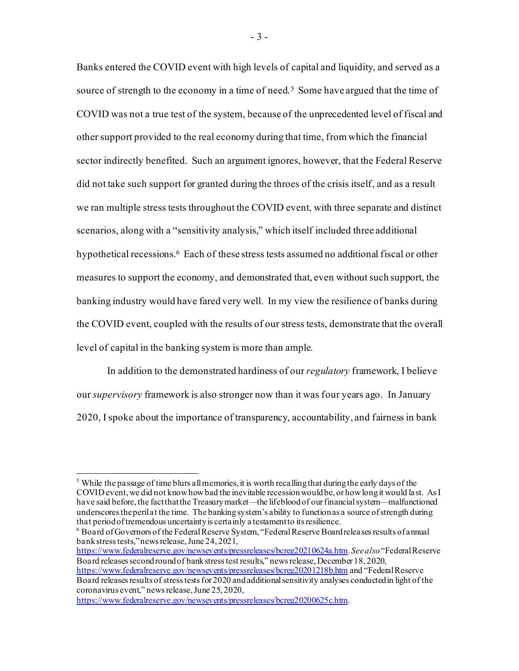Banks entered the COVID event with high levels of capital and liquidity, and served as a source of strength to the economy in a time of need.<sup>[5](#page-3-0)</sup> Some have argued that the time of COVID was not a true test of the system, because of the unprecedented level of fiscal and other support provided to the real economy during that time, from which the financial sector indirectly benefited. Such an argument ignores, however, that the Federal Reserve did not take such support for granted during the throes of the crisis itself, and as a result we ran multiple stress tests throughout the COVID event, with three separate and distinct scenarios, along with a "sensitivity analysis," which itself included three additional hypothetical recessions. [6](#page-3-1) Each of these stress tests assumed no additional fiscal or other measures to support the economy, and demonstrated that, even without such support, the banking industry would have fared very well. In my view the resilience of banks during the COVID event, coupled with the results of our stress tests, demonstrate that the overall level of capital in the banking system is more than ample.

In addition to the demonstrated hardiness of our *regulatory* framework, I believe our *supervisory* framework is also stronger now than it was four years ago. In January 2020, I spoke about the importance of transparency, accountability, and fairness in bank

<span id="page-3-1"></span><sup>6</sup> Board of Governors of the Federal Reserve System, "Federal Reserve Board releases results of annual bank stress tests," news release, June 24, 2021,

<https://www.federalreserve.gov/newsevents/pressreleases/bcreg20210624a.htm>. *See also*"Federal Reserve Board releases second round of bank stress test results," news release, December 18, 2020,

<https://www.federalreserve.gov/newsevents/pressreleases/bcreg20200625c.htm>.

- 3 -

<span id="page-3-0"></span><sup>&</sup>lt;sup>5</sup> While the passage of time blurs all memories, it is worth recalling that during the early days of the COVID event, we did not know how bad the inevitable recession would be, or how long it would last. As I have said before, the fact that the Treasury market—the lifeblood of our financial system—malfunctioned underscores the peril at the time. The banking system's ability to function as a source of strength during that period of tremendous uncertainty is certainly a testament to its resilience.

<https://www.federalreserve.gov/newsevents/pressreleases/bcreg20201218b.htm> and "Federal Reserve Board releases results of stress tests for 2020 and additional sensitivity analyses conducted in light of the coronavirus event," news release, June 25, 2020,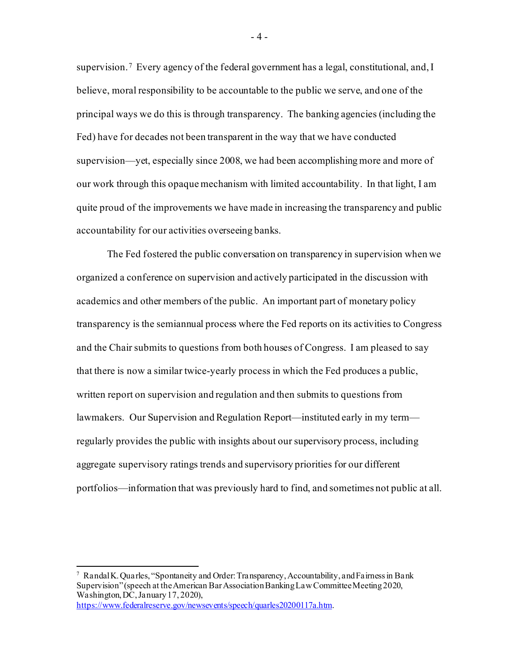supervision.<sup>[7](#page-4-0)</sup> Every agency of the federal government has a legal, constitutional, and, I believe, moral responsibility to be accountable to the public we serve, and one of the principal ways we do this is through transparency. The banking agencies (including the Fed) have for decades not been transparent in the way that we have conducted supervision—yet, especially since 2008, we had been accomplishing more and more of our work through this opaque mechanism with limited accountability. In that light, I am quite proud of the improvements we have made in increasing the transparency and public accountability for our activities overseeing banks.

The Fed fostered the public conversation on transparency in supervision when we organized a conference on supervision and actively participated in the discussion with academics and other members of the public. An important part of monetary policy transparency is the semiannual process where the Fed reports on its activities to Congress and the Chair submits to questions from both houses of Congress. I am pleased to say that there is now a similar twice-yearly process in which the Fed produces a public, written report on supervision and regulation and then submits to questions from lawmakers. Our Supervision and Regulation Report—instituted early in my term regularly provides the public with insights about our supervisory process, including aggregate supervisory ratings trends and supervisory priorities for our different portfolios—information that was previously hard to find, and sometimes not public at all.

<span id="page-4-0"></span><sup>7</sup> Randal K. Quarles, "Spontaneity and Order: Transparency, Accountability, and Fairness in Bank Supervision" (speech at the American Bar Association Banking Law Committee Meeting 2020, Washington, DC, January 17, 2020), <https://www.federalreserve.gov/newsevents/speech/quarles20200117a.htm>.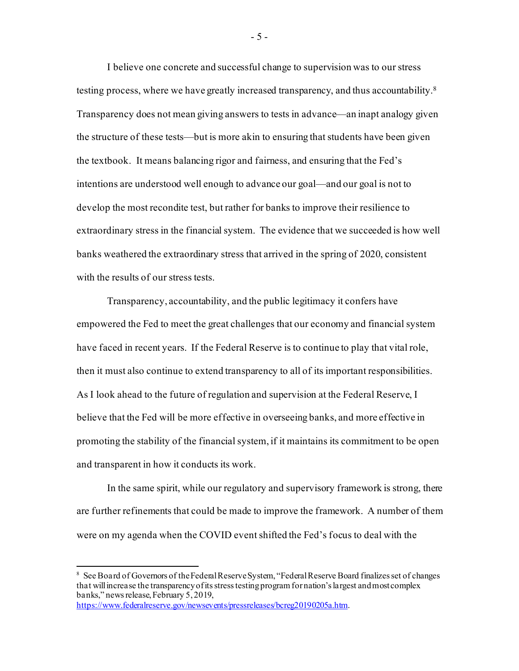I believe one concrete and successful change to supervision was to our stress testing process, where we have greatly increased transparency, and thus accountability. [8](#page-5-0) Transparency does not mean giving answers to tests in advance—an inapt analogy given the structure of these tests—but is more akin to ensuring that students have been given the textbook. It means balancing rigor and fairness, and ensuring that the Fed's intentions are understood well enough to advance our goal—and our goal is not to develop the most recondite test, but rather for banks to improve their resilience to extraordinary stress in the financial system. The evidence that we succeeded is how well banks weathered the extraordinary stress that arrived in the spring of 2020, consistent with the results of our stress tests.

Transparency, accountability, and the public legitimacy it confers have empowered the Fed to meet the great challenges that our economy and financial system have faced in recent years. If the Federal Reserve is to continue to play that vital role, then it must also continue to extend transparency to all of its important responsibilities. As I look ahead to the future of regulation and supervision at the Federal Reserve, I believe that the Fed will be more effective in overseeing banks, and more effective in promoting the stability of the financial system, if it maintains its commitment to be open and transparent in how it conducts its work.

In the same spirit, while our regulatory and supervisory framework is strong, there are further refinements that could be made to improve the framework. A number of them were on my agenda when the COVID event shifted the Fed's focus to deal with the

- 5 -

<span id="page-5-0"></span><sup>&</sup>lt;sup>8</sup> See Board of Governors of the Federal Reserve System, "Federal Reserve Board finalizes set of changes that will increase the transparency of its stress testing program for nation's largest and most complex banks," news release, February 5, 2019, <https://www.federalreserve.gov/newsevents/pressreleases/bcreg20190205a.htm>.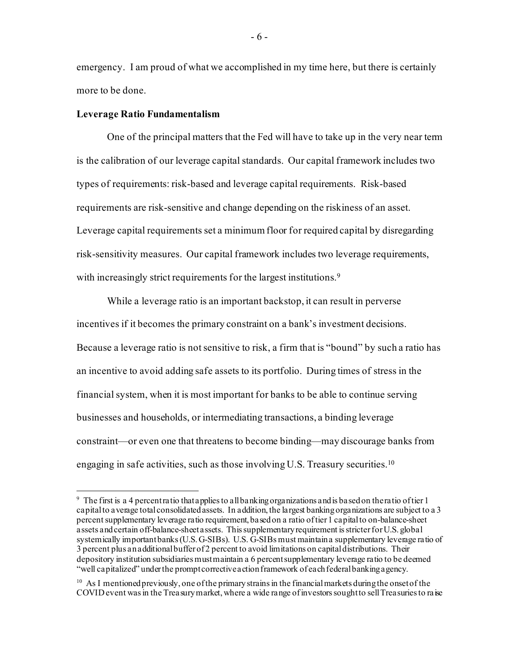emergency. I am proud of what we accomplished in my time here, but there is certainly more to be done.

## **Leverage Ratio Fundamentalism**

One of the principal matters that the Fed will have to take up in the very near term is the calibration of our leverage capital standards. Our capital framework includes two types of requirements: risk-based and leverage capital requirements. Risk-based requirements are risk-sensitive and change depending on the riskiness of an asset. Leverage capital requirements set a minimum floor for required capital by disregarding risk-sensitivity measures. Our capital framework includes two leverage requirements, with increasingly strict requirements for the largest institutions.<sup>9</sup>

While a leverage ratio is an important backstop, it can result in perverse incentives if it becomes the primary constraint on a bank's investment decisions. Because a leverage ratio is not sensitive to risk, a firm that is "bound" by such a ratio has an incentive to avoid adding safe assets to its portfolio. During times of stress in the financial system, when it is most important for banks to be able to continue serving businesses and households, or intermediating transactions, a binding leverage constraint—or even one that threatens to become binding—may discourage banks from engaging in safe activities, such as those involving U.S. Treasury securities.[10](#page-6-1) 

- 6 -

<span id="page-6-0"></span> $9\,$  The first is a 4 percent ratio that applies to all banking organizations and is based on the ratio of tier 1 capital to average total consolidated assets. In addition, the largest banking organizations are subject to a 3 percent supplementary leverage ratio requirement, based on a ratio of tier 1 capital to on-balance-sheet assets and certain off-balance-sheet assets. This supplementary requirement is stricter for U.S. global systemically important banks (U.S. G-SIBs). U.S. G-SIBs must maintain a supplementary leverage ratio of 3 percent plus an additional buffer of 2 percent to avoid limitations on capital distributions. Their depository institution subsidiaries must maintain a 6 percent supplementary leverage ratio to be deemed "well capitalized" under the prompt corrective action framework of each federal banking agency.

<span id="page-6-1"></span> $10$  As I mentioned previously, one of the primary strains in the financial markets during the onset of the COVID event was in the Treasury market, where a wide range of investors sought to sell Treasuries to raise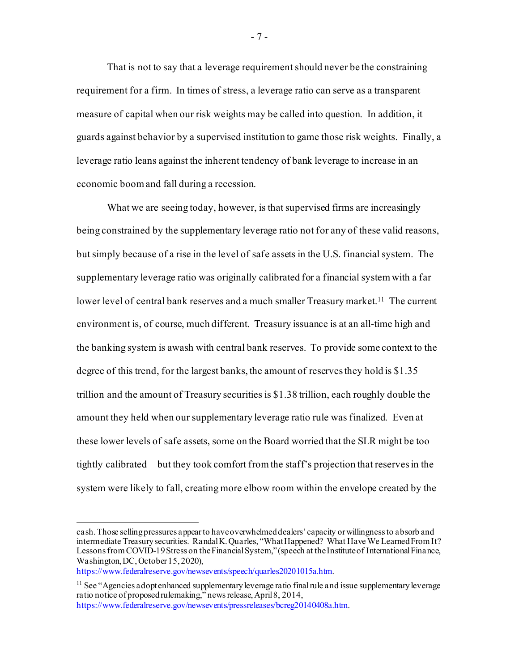That is not to say that a leverage requirement should never be the constraining requirement for a firm. In times of stress, a leverage ratio can serve as a transparent measure of capital when our risk weights may be called into question. In addition, it guards against behavior by a supervised institution to game those risk weights. Finally, a leverage ratio leans against the inherent tendency of bank leverage to increase in an economic boom and fall during a recession.

What we are seeing today, however, is that supervised firms are increasingly being constrained by the supplementary leverage ratio not for any of these valid reasons, but simply because of a rise in the level of safe assets in the U.S. financial system. The supplementary leverage ratio was originally calibrated for a financial system with a far lower level of central bank reserves and a much smaller Treasury market.<sup>11</sup> The current environment is, of course, much different. Treasury issuance is at an all-time high and the banking system is awash with central bank reserves. To provide some context to the degree of this trend, for the largest banks, the amount of reserves they hold is \$1.35 trillion and the amount of Treasury securities is \$1.38 trillion, each roughly double the amount they held when our supplementary leverage ratio rule was finalized. Even at these lower levels of safe assets, some on the Board worried that the SLR might be too tightly calibrated—but they took comfort from the staff's projection that reserves in the system were likely to fall, creating more elbow room within the envelope created by the

- 7 -

cash. Those selling pressures appear to have overwhelmed dealers' capacity or willingness to absorb and intermediate Treasury securities. Randal K. Quarles, "What Happened? What Have We Learned From It? Lessons from COVID-19 Stress on the Financial System," (speech at the Institute of International Finance, Washington, DC, October 15, 2020),

<https://www.federalreserve.gov/newsevents/speech/quarles20201015a.htm>.

<span id="page-7-0"></span> $11$  See "Agencies adopt enhanced supplementary leverage ratio final rule and issue supplementary leverage ratio notice of proposed rulemaking," news release, April 8, 2014, <https://www.federalreserve.gov/newsevents/pressreleases/bcreg20140408a.htm>.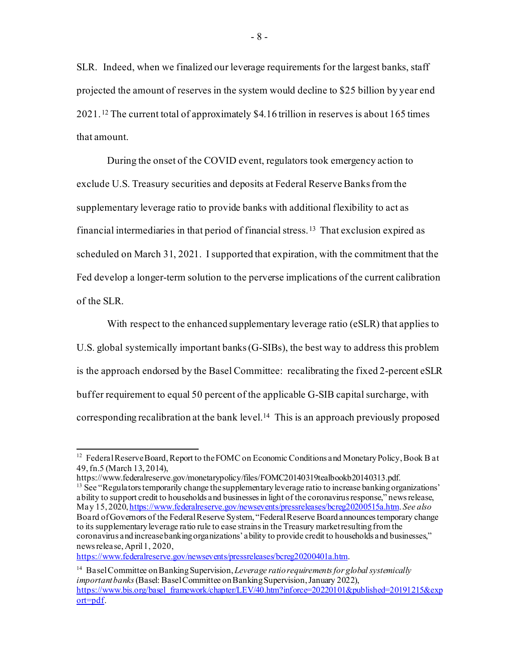SLR. Indeed, when we finalized our leverage requirements for the largest banks, staff projected the amount of reserves in the system would decline to \$25 billion by year end 2021. [12](#page-8-0) The current total of approximately \$4.16 trillion in reserves is about 165 times that amount.

During the onset of the COVID event, regulators took emergency action to exclude U.S. Treasury securities and deposits at Federal Reserve Banks from the supplementary leverage ratio to provide banks with additional flexibility to act as financial intermediaries in that period of financial stress.[13](#page-8-1) That exclusion expired as scheduled on March 31, 2021. I supported that expiration, with the commitment that the Fed develop a longer-term solution to the perverse implications of the current calibration of the SLR.

With respect to the enhanced supplementary leverage ratio (eSLR) that applies to U.S. global systemically important banks (G-SIBs), the best way to address this problem is the approach endorsed by the Basel Committee: recalibrating the fixed 2-percent eSLR buffer requirement to equal 50 percent of the applicable G-SIB capital surcharge, with corresponding recalibration at the bank level.<sup>14</sup> This is an approach previously proposed

<span id="page-8-0"></span><sup>&</sup>lt;sup>12</sup> Federal Reserve Board, Report to the FOMC on Economic Conditions and Monetary Policy, Book B at 49, fn.5 (March 13, 2014),

https://www.federalreserve.gov/monetarypolicy/files/FOMC20140319tealbookb20140313.pdf.

<span id="page-8-1"></span> $13$  See "Regulators temporarily change the supplementary leverage ratio to increase banking organizations' ability to support credit to households and businesses in light of the coronavirus response," news release, May 15, 202[0, https://www.federalreserve.gov/newsevents/pressreleases/bcreg20200515a.htm](https://www.federalreserve.gov/newsevents/pressreleases/bcreg20200515a.htm). *See also*  Board of Governors of the Federal Reserve System, "Federal Reserve Board announces temporary change to its supplementary leverage ratio rule to ease strains in the Treasury market resulting from the coronavirus and increase banking organizations' ability to provide credit to households and businesses," news release, April 1, 2020,

<https://www.federalreserve.gov/newsevents/pressreleases/bcreg20200401a.htm>.

<span id="page-8-2"></span><sup>14</sup> Basel Committee on Banking Supervision, *Leverage ratio requirements for global systemically important banks*(Basel: Basel Committee on Banking Supervision, January 2022), [https://www.bis.org/basel\\_framework/chapter/LEV/40.htm?inforce=20220101&published=20191215&exp](https://www.bis.org/basel_framework/chapter/LEV/40.htm?inforce=20220101&published=20191215&export=pdf) [ort=pdf](https://www.bis.org/basel_framework/chapter/LEV/40.htm?inforce=20220101&published=20191215&export=pdf).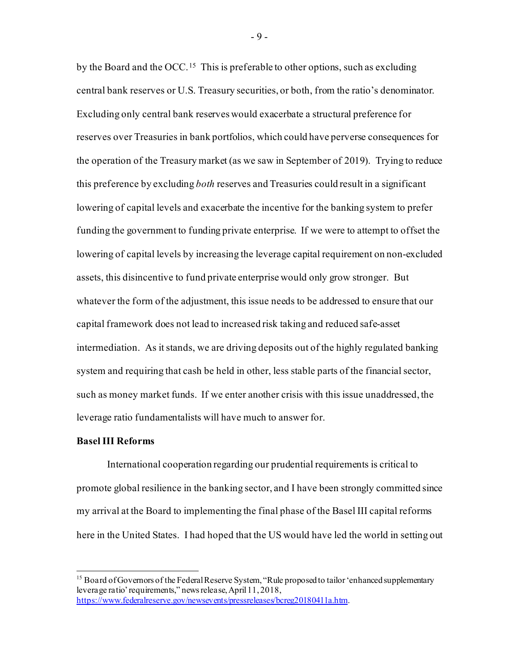by the Board and the OCC.[15](#page-9-0) This is preferable to other options, such as excluding central bank reserves or U.S. Treasury securities, or both, from the ratio's denominator. Excluding only central bank reserves would exacerbate a structural preference for reserves over Treasuries in bank portfolios, which could have perverse consequences for the operation of the Treasury market (as we saw in September of 2019). Trying to reduce this preference by excluding *both* reserves and Treasuries could result in a significant lowering of capital levels and exacerbate the incentive for the banking system to prefer funding the government to funding private enterprise. If we were to attempt to offset the lowering of capital levels by increasing the leverage capital requirement on non-excluded assets, this disincentive to fund private enterprise would only grow stronger. But whatever the form of the adjustment, this issue needs to be addressed to ensure that our capital framework does not lead to increased risk taking and reduced safe-asset intermediation. As it stands, we are driving deposits out of the highly regulated banking system and requiring that cash be held in other, less stable parts of the financial sector, such as money market funds. If we enter another crisis with this issue unaddressed, the leverage ratio fundamentalists will have much to answer for.

#### **Basel III Reforms**

International cooperation regarding our prudential requirements is critical to promote global resilience in the banking sector, and I have been strongly committed since my arrival at the Board to implementing the final phase of the Basel III capital reforms here in the United States. I had hoped that the US would have led the world in setting out

- 9 -

<span id="page-9-0"></span><sup>&</sup>lt;sup>15</sup> Board of Governors of the Federal Reserve System, "Rule proposed to tailor 'enhanced supplementary leverage ratio' requirements," news release, April 11, 2018, <https://www.federalreserve.gov/newsevents/pressreleases/bcreg20180411a.htm>.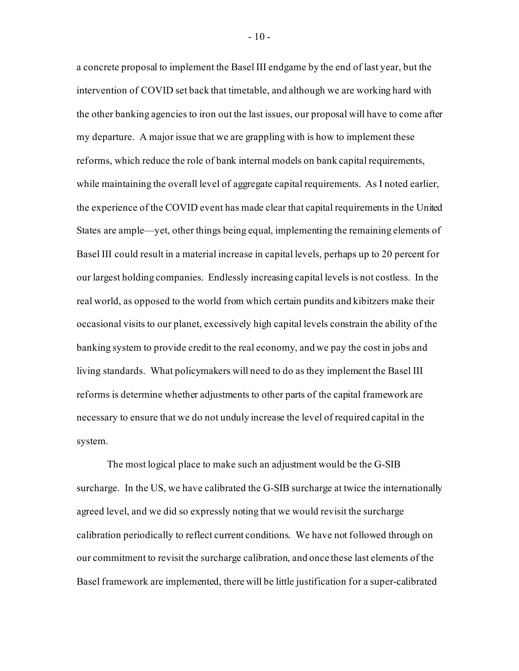a concrete proposal to implement the Basel III endgame by the end of last year, but the intervention of COVID set back that timetable, and although we are working hard with the other banking agencies to iron out the last issues, our proposal will have to come after my departure. A major issue that we are grappling with is how to implement these reforms, which reduce the role of bank internal models on bank capital requirements, while maintaining the overall level of aggregate capital requirements. As I noted earlier, the experience of the COVID event has made clear that capital requirements in the United States are ample—yet, other things being equal, implementing the remaining elements of Basel III could result in a material increase in capital levels, perhaps up to 20 percent for our largest holding companies. Endlessly increasing capital levels is not costless. In the real world, as opposed to the world from which certain pundits and kibitzers make their occasional visits to our planet, excessively high capital levels constrain the ability of the banking system to provide credit to the real economy, and we pay the cost in jobs and living standards. What policymakers will need to do as they implement the Basel III reforms is determine whether adjustments to other parts of the capital framework are necessary to ensure that we do not unduly increase the level of required capital in the system.

The most logical place to make such an adjustment would be the G-SIB surcharge. In the US, we have calibrated the G-SIB surcharge at twice the internationally agreed level, and we did so expressly noting that we would revisit the surcharge calibration periodically to reflect current conditions. We have not followed through on our commitment to revisit the surcharge calibration, and once these last elements of the Basel framework are implemented, there will be little justification for a super-calibrated

 $-10-$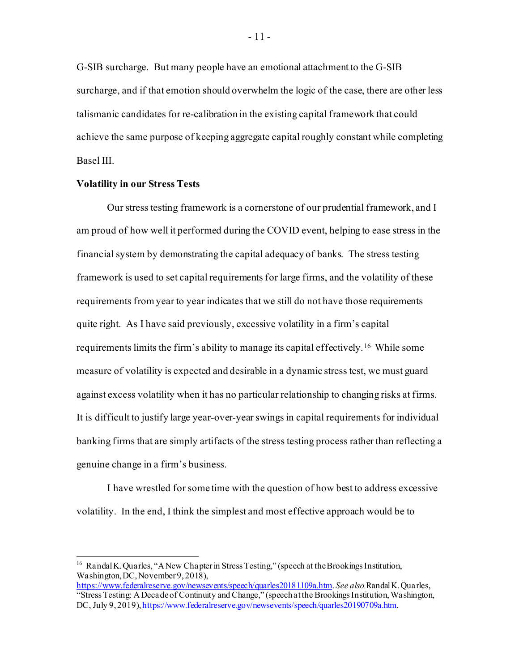G-SIB surcharge. But many people have an emotional attachment to the G-SIB surcharge, and if that emotion should overwhelm the logic of the case, there are other less talismanic candidates for re-calibration in the existing capital framework that could achieve the same purpose of keeping aggregate capital roughly constant while completing Basel III.

## **Volatility in our Stress Tests**

Our stress testing framework is a cornerstone of our prudential framework, and I am proud of how well it performed during the COVID event, helping to ease stress in the financial system by demonstrating the capital adequacy of banks. The stress testing framework is used to set capital requirements for large firms, and the volatility of these requirements from year to year indicates that we still do not have those requirements quite right. As I have said previously, excessive volatility in a firm's capital requirements limits the firm's ability to manage its capital effectively.[16](#page-11-0) While some measure of volatility is expected and desirable in a dynamic stress test, we must guard against excess volatility when it has no particular relationship to changing risks at firms. It is difficult to justify large year-over-year swings in capital requirements for individual banking firms that are simply artifacts of the stress testing process rather than reflecting a genuine change in a firm's business.

I have wrestled for some time with the question of how best to address excessive volatility. In the end, I think the simplest and most effective approach would be to

<span id="page-11-0"></span><sup>&</sup>lt;sup>16</sup> Randal K. Quarles, "A New Chapter in Stress Testing," (speech at the Brookings Institution, Washington, DC, November 9, 2018),

<https://www.federalreserve.gov/newsevents/speech/quarles20181109a.htm>. *See also* Randal K. Quarles, "Stress Testing: A Decade of Continuity and Change," (speech at the Brookings Institution, Washington, DC, July 9, 2019[\), https://www.federalreserve.gov/newsevents/speech/quarles20190709a.htm](https://www.federalreserve.gov/newsevents/speech/quarles20190709a.htm).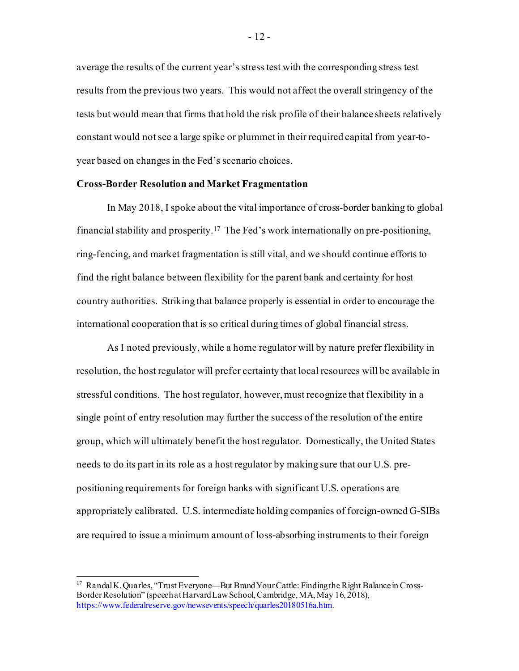average the results of the current year's stress test with the corresponding stress test results from the previous two years. This would not affect the overall stringency of the tests but would mean that firms that hold the risk profile of their balance sheets relatively constant would not see a large spike or plummet in their required capital from year-toyear based on changes in the Fed's scenario choices.

## **Cross-Border Resolution and Market Fragmentation**

In May 2018, I spoke about the vital importance of cross-border banking to global financial stability and prosperity.[17](#page-12-0) The Fed's work internationally on pre-positioning, ring-fencing, and market fragmentation is still vital, and we should continue efforts to find the right balance between flexibility for the parent bank and certainty for host country authorities. Striking that balance properly is essential in order to encourage the international cooperation that is so critical during times of global financial stress.

As I noted previously, while a home regulator will by nature prefer flexibility in resolution, the host regulator will prefer certainty that local resources will be available in stressful conditions. The host regulator, however, must recognize that flexibility in a single point of entry resolution may further the success of the resolution of the entire group, which will ultimately benefit the host regulator. Domestically, the United States needs to do its part in its role as a host regulator by making sure that our U.S. prepositioning requirements for foreign banks with significant U.S. operations are appropriately calibrated. U.S. intermediate holding companies of foreign-owned G-SIBs are required to issue a minimum amount of loss-absorbing instruments to their foreign

<span id="page-12-0"></span><sup>&</sup>lt;sup>17</sup> Randal K. Quarles, "Trust Everyone—But Brand Your Cattle: Finding the Right Balance in Cross-Border Resolution" (speech at Harvard Law School, Cambridge, MA, May 16, 2018), <https://www.federalreserve.gov/newsevents/speech/quarles20180516a.htm>.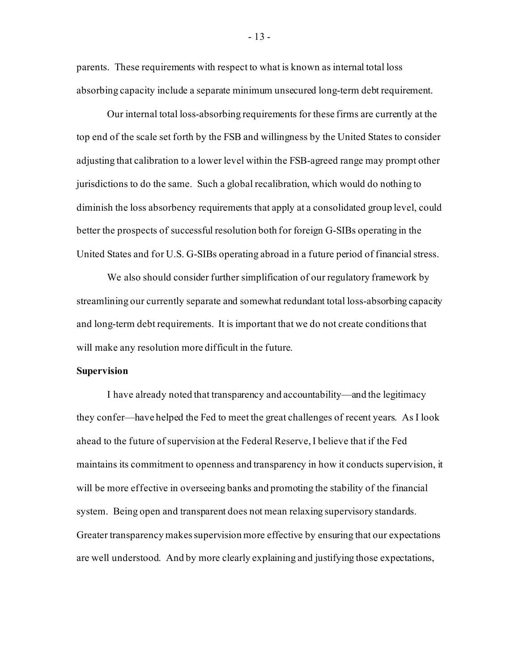parents. These requirements with respect to what is known as internal total loss absorbing capacity include a separate minimum unsecured long-term debt requirement.

Our internal total loss-absorbing requirements for these firms are currently at the top end of the scale set forth by the FSB and willingness by the United States to consider adjusting that calibration to a lower level within the FSB-agreed range may prompt other jurisdictions to do the same. Such a global recalibration, which would do nothing to diminish the loss absorbency requirements that apply at a consolidated group level, could better the prospects of successful resolution both for foreign G-SIBs operating in the United States and for U.S. G-SIBs operating abroad in a future period of financial stress.

We also should consider further simplification of our regulatory framework by streamlining our currently separate and somewhat redundant total loss-absorbing capacity and long-term debt requirements. It is important that we do not create conditions that will make any resolution more difficult in the future.

### **Supervision**

I have already noted that transparency and accountability—and the legitimacy they confer—have helped the Fed to meet the great challenges of recent years. As I look ahead to the future of supervision at the Federal Reserve, I believe that if the Fed maintains its commitment to openness and transparency in how it conducts supervision, it will be more effective in overseeing banks and promoting the stability of the financial system. Being open and transparent does not mean relaxing supervisory standards. Greater transparency makes supervision more effective by ensuring that our expectations are well understood. And by more clearly explaining and justifying those expectations,

- 13 -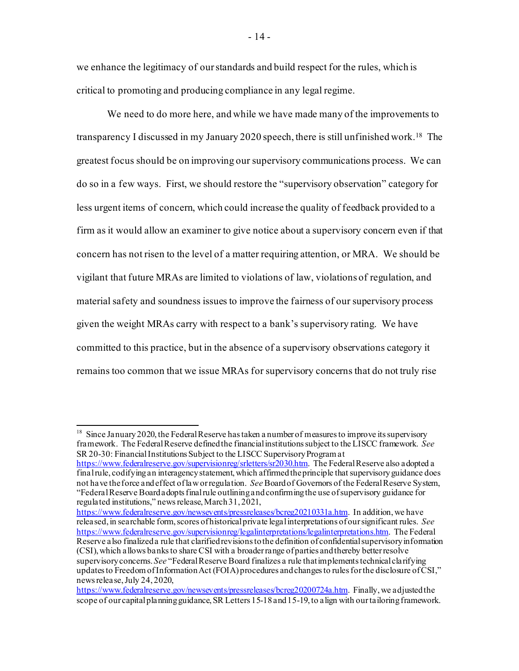we enhance the legitimacy of our standards and build respect for the rules, which is critical to promoting and producing compliance in any legal regime.

We need to do more here, and while we have made many of the improvements to transparency I discussed in my January 2020 speech, there is still unfinished work[.18](#page-14-0) The greatest focus should be on improving our supervisory communications process. We can do so in a few ways. First, we should restore the "supervisory observation" category for less urgent items of concern, which could increase the quality of feedback provided to a firm as it would allow an examiner to give notice about a supervisory concern even if that concern has not risen to the level of a matter requiring attention, or MRA. We should be vigilant that future MRAs are limited to violations of law, violations of regulation, and material safety and soundness issues to improve the fairness of our supervisory process given the weight MRAs carry with respect to a bank's supervisory rating. We have committed to this practice, but in the absence of a supervisory observations category it remains too common that we issue MRAs for supervisory concerns that do not truly rise

<https://www.federalreserve.gov/newsevents/pressreleases/bcreg20210331a.htm>. In addition, we have released, in searchable form, scores of historical private legal interpretations of our significant rules. *See* <https://www.federalreserve.gov/supervisionreg/legalinterpretations/legalinterpretations.htm>. The Federal Reserve also finalized a rule that clarified revisions to the definition of confidential supervisory information (CSI), which allows banks to share CSI with a broader range of parties and thereby better resolve supervisory concerns. *See* "Federal Reserve Board finalizes a rule that implements technical clarifying updates to Freedom of Information Act (FOIA) procedures and changes to rules for the disclosure of CSI," news release, July 24, 2020,

<span id="page-14-0"></span><sup>&</sup>lt;sup>18</sup> Since January 2020, the Federal Reserve has taken a number of measures to improve its supervisory framework. The Federal Reserve defined the financial institutions subject to the LISCC framework. *See*  SR 20-30: Financial Institutions Subject to the LISCC Supervisory Programat

<https://www.federalreserve.gov/supervisionreg/srletters/sr2030.htm>. The Federal Reserve also adopted a final rule, codifying an interagency statement, which affirmed theprinciple that supervisory guidance does not have the force and effect of law or regulation. *See* Board of Governors of the Federal Reserve System, "Federal Reserve Board adopts final rule outlining and confirming the use of supervisory guidance for regulated institutions," news release, March 31, 2021,

<https://www.federalreserve.gov/newsevents/pressreleases/bcreg20200724a.htm>. Finally, we adjusted the scope of our capital planning guidance, SR Letters 15-18 and 15-19, to align with our tailoring framework.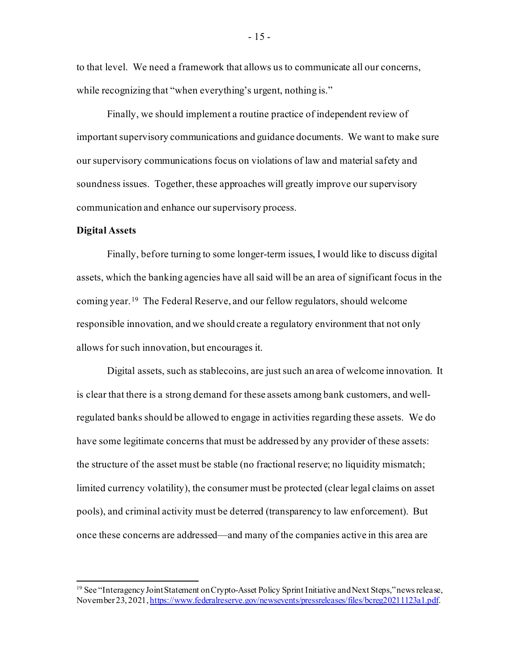to that level. We need a framework that allows us to communicate all our concerns, while recognizing that "when everything's urgent, nothing is."

Finally, we should implement a routine practice of independent review of important supervisory communications and guidance documents. We want to make sure our supervisory communications focus on violations of law and material safety and soundness issues. Together, these approaches will greatly improve our supervisory communication and enhance our supervisory process.

#### **Digital Assets**

Finally, before turning to some longer-term issues, I would like to discuss digital assets, which the banking agencies have all said will be an area of significant focus in the coming year.[19](#page-15-0) The Federal Reserve, and our fellow regulators, should welcome responsible innovation, and we should create a regulatory environment that not only allows for such innovation, but encourages it.

Digital assets, such as stablecoins, are just such an area of welcome innovation. It is clear that there is a strong demand for these assets among bank customers, and wellregulated banks should be allowed to engage in activities regarding these assets. We do have some legitimate concerns that must be addressed by any provider of these assets: the structure of the asset must be stable (no fractional reserve; no liquidity mismatch; limited currency volatility), the consumer must be protected (clear legal claims on asset pools), and criminal activity must be deterred (transparency to law enforcement). But once these concerns are addressed—and many of the companies active in this area are

<span id="page-15-0"></span><sup>&</sup>lt;sup>19</sup> See "Interagency Joint Statement on Crypto-Asset Policy Sprint Initiative and Next Steps," news release, November 23, 202[1, https://www.federalreserve.gov/newsevents/pressreleases/files/bcreg20211123a1.pdf](https://www.federalreserve.gov/newsevents/pressreleases/files/bcreg20211123a1.pdf).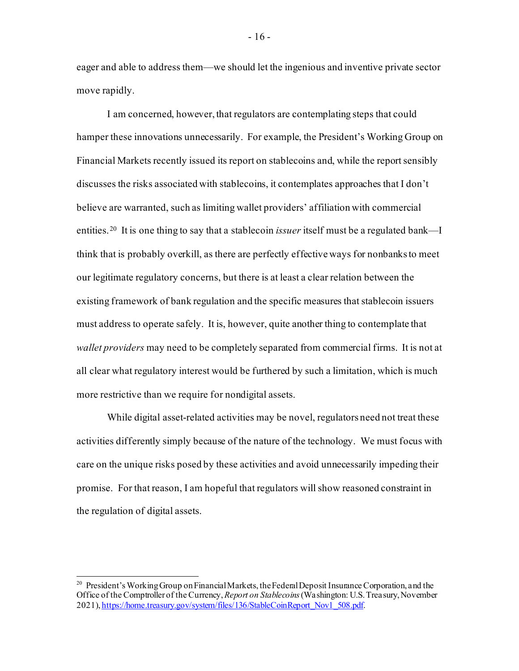eager and able to address them—we should let the ingenious and inventive private sector move rapidly.

I am concerned, however, that regulators are contemplating steps that could hamper these innovations unnecessarily. For example, the President's Working Group on Financial Markets recently issued its report on stablecoins and, while the report sensibly discusses the risks associated with stablecoins, it contemplates approaches that I don't believe are warranted, such as limiting wallet providers' affiliation with commercial entities.[20](#page-16-0) It is one thing to say that a stablecoin *issuer* itself must be a regulated bank—I think that is probably overkill, as there are perfectly effective ways for nonbanks to meet our legitimate regulatory concerns, but there is at least a clear relation between the existing framework of bank regulation and the specific measures that stablecoin issuers must address to operate safely. It is, however, quite another thing to contemplate that *wallet providers* may need to be completely separated from commercial firms. It is not at all clear what regulatory interest would be furthered by such a limitation, which is much more restrictive than we require for nondigital assets.

While digital asset-related activities may be novel, regulators need not treat these activities differently simply because of the nature of the technology. We must focus with care on the unique risks posed by these activities and avoid unnecessarily impeding their promise. For that reason, I am hopeful that regulators will show reasoned constraint in the regulation of digital assets.

- 16 -

<span id="page-16-0"></span><sup>&</sup>lt;sup>20</sup> President's Working Group on Financial Markets, the Federal Deposit Insurance Corporation, and the Office of the Comptroller of the Currency, *Report on Stablecoins*(Washington: U.S. Treasury,November 2021[\), https://home.treasury.gov/system/files/136/StableCoinReport\\_Nov1\\_508.pdf.](https://home.treasury.gov/system/files/136/StableCoinReport_Nov1_508.pdf)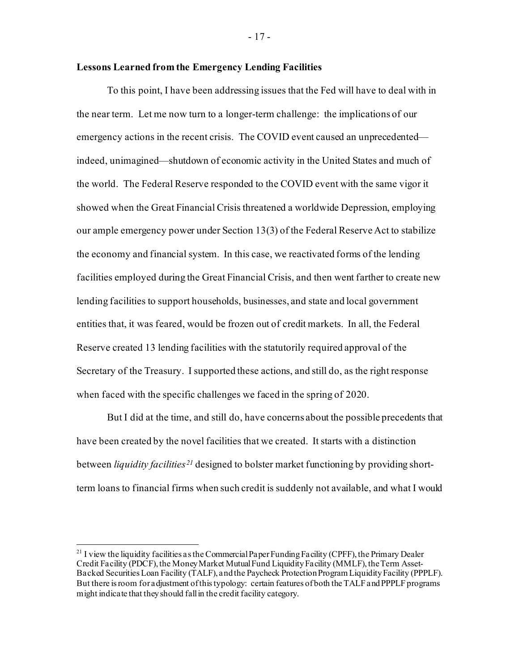### **Lessons Learned from the Emergency Lending Facilities**

To this point, I have been addressing issues that the Fed will have to deal with in the near term. Let me now turn to a longer-term challenge: the implications of our emergency actions in the recent crisis. The COVID event caused an unprecedented indeed, unimagined—shutdown of economic activity in the United States and much of the world. The Federal Reserve responded to the COVID event with the same vigor it showed when the Great Financial Crisis threatened a worldwide Depression, employing our ample emergency power under Section 13(3) of the Federal Reserve Act to stabilize the economy and financial system. In this case, we reactivated forms of the lending facilities employed during the Great Financial Crisis, and then went farther to create new lending facilities to support households, businesses, and state and local government entities that, it was feared, would be frozen out of credit markets. In all, the Federal Reserve created 13 lending facilities with the statutorily required approval of the Secretary of the Treasury. I supported these actions, and still do, as the right response when faced with the specific challenges we faced in the spring of 2020.

But I did at the time, and still do, have concerns about the possible precedents that have been created by the novel facilities that we created. It starts with a distinction between *liquidity facilities[21](#page-17-0)* designed to bolster market functioning by providing shortterm loans to financial firms when such credit is suddenly not available, and what I would

- 17 -

<span id="page-17-0"></span><sup>&</sup>lt;sup>21</sup> I view the liquidity facilities as the Commercial Paper Funding Facility (CPFF), the Primary Dealer Credit Facility (PDCF), the Money Market Mutual Fund Liquidity Facility (MMLF), the Term Asset-Backed Securities Loan Facility (TALF), and the Paycheck Protection Program Liquidity Facility (PPPLF). But there is room for adjustment of this typology: certain features of both the TALF and PPPLF programs might indicate that they should fall in the credit facility category.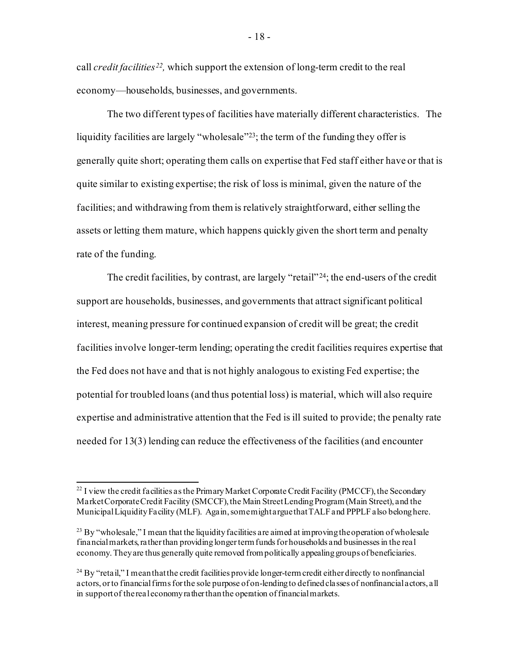call *credit facilities[22](#page-18-0),* which support the extension of long-term credit to the real economy—households, businesses, and governments.

The two different types of facilities have materially different characteristics. The liquidity facilities are largely "wholesale"[23;](#page-18-1) the term of the funding they offer is generally quite short; operating them calls on expertise that Fed staff either have or that is quite similar to existing expertise; the risk of loss is minimal, given the nature of the facilities; and withdrawing from them is relatively straightforward, either selling the assets or letting them mature, which happens quickly given the short term and penalty rate of the funding.

The credit facilities, by contrast, are largely "retail"<sup>24</sup>; the end-users of the credit support are households, businesses, and governments that attract significant political interest, meaning pressure for continued expansion of credit will be great; the credit facilities involve longer-term lending; operating the credit facilities requires expertise that the Fed does not have and that is not highly analogous to existing Fed expertise; the potential for troubled loans (and thus potential loss) is material, which will also require expertise and administrative attention that the Fed is ill suited to provide; the penalty rate needed for 13(3) lending can reduce the effectiveness of the facilities (and encounter

<span id="page-18-0"></span> $^{22}$  I view the credit facilities as the Primary Market Corporate Credit Facility (PMCCF), the Secondary Market Corporate Credit Facility (SMCCF), the Main Street Lending Program (Main Street), and the Municipal Liquidity Facility (MLF). Again, some might argue that TALF and PPPLF also belong here.

<span id="page-18-1"></span><sup>&</sup>lt;sup>23</sup> By "wholesale," I mean that the liquidity facilities are aimed at improving the operation of wholesale financial markets, rather than providing longer term funds for households and businesses in the real economy. They are thus generally quite removed from politically appealing groups of beneficiaries.

<span id="page-18-2"></span><sup>&</sup>lt;sup>24</sup> By "retail," I mean that the credit facilities provide longer-term credit either directly to nonfinancial actors, or to financial firms for the sole purpose of on-lending to defined classes of nonfinancial actors, all in support of the real economy rather than the operation of financial markets.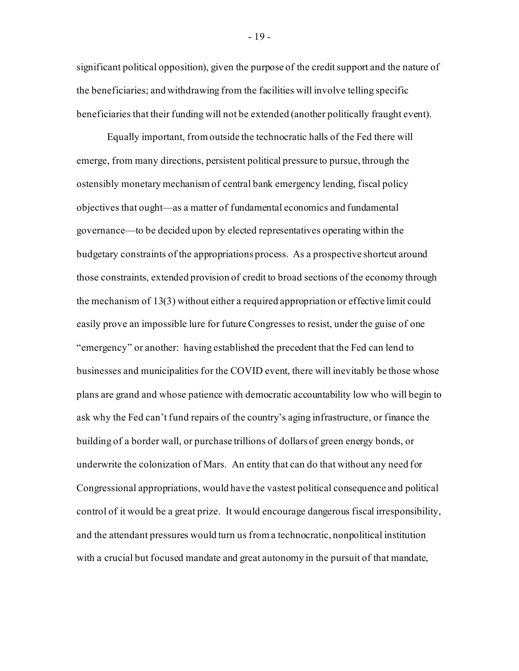significant political opposition), given the purpose of the credit support and the nature of the beneficiaries; and withdrawing from the facilities will involve telling specific beneficiaries that their funding will not be extended (another politically fraught event).

Equally important, fromoutside the technocratic halls of the Fed there will emerge, from many directions, persistent political pressure to pursue, through the ostensibly monetary mechanism of central bank emergency lending, fiscal policy objectives that ought—as a matter of fundamental economics and fundamental governance—to be decided upon by elected representatives operating within the budgetary constraints of the appropriations process. As a prospective shortcut around those constraints, extended provision of credit to broad sections of the economy through the mechanism of 13(3) without either a required appropriation or effective limit could easily prove an impossible lure for future Congresses to resist, under the guise of one "emergency" or another: having established the precedent that the Fed can lend to businesses and municipalities for the COVID event, there will inevitably be those whose plans are grand and whose patience with democratic accountability low who will begin to ask why the Fed can't fund repairs of the country's aging infrastructure, or finance the building of a border wall, or purchase trillions of dollars of green energy bonds, or underwrite the colonization of Mars. An entity that can do that without any need for Congressional appropriations, would have the vastest political consequence and political control of it would be a great prize. It would encourage dangerous fiscal irresponsibility, and the attendant pressures would turn us from a technocratic, nonpolitical institution with a crucial but focused mandate and great autonomy in the pursuit of that mandate,

- 19 -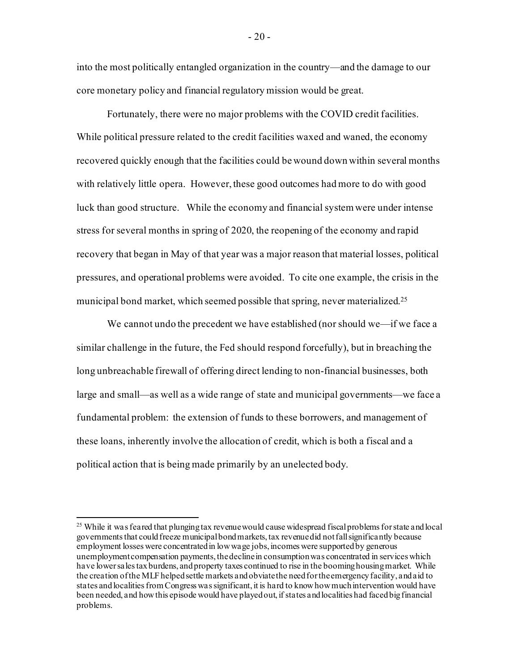into the most politically entangled organization in the country—and the damage to our core monetary policy and financial regulatory mission would be great.

Fortunately, there were no major problems with the COVID credit facilities. While political pressure related to the credit facilities waxed and waned, the economy recovered quickly enough that the facilities could be wound down within several months with relatively little opera. However, these good outcomes had more to do with good luck than good structure. While the economy and financial system were under intense stress for several months in spring of 2020, the reopening of the economy and rapid recovery that began in May of that year was a major reason that material losses, political pressures, and operational problems were avoided. To cite one example, the crisis in the municipal bond market, which seemed possible that spring, never materialized. [25](#page-20-0)

We cannot undo the precedent we have established (nor should we—if we face a similar challenge in the future, the Fed should respond forcefully), but in breaching the long unbreachable firewall of offering direct lending to non-financial businesses, both large and small—as well as a wide range of state and municipal governments—we face a fundamental problem: the extension of funds to these borrowers, and management of these loans, inherently involve the allocation of credit, which is both a fiscal and a political action that is being made primarily by an unelected body.

<span id="page-20-0"></span><sup>&</sup>lt;sup>25</sup> While it was feared that plunging tax revenue would cause widespread fiscal problems for state and local governments that could freeze municipal bond markets, tax revenue did not fall significantly because employment losses were concentrated in low wage jobs, incomes were supported by generous unemployment compensation payments, the decline in consumption was concentrated in services which have lower sales tax burdens, and property taxes continued to rise in the booming housing market. While the creation of the MLFhelped settle markets and obviate the need for the emergency facility, and aid to states and localities from Congress was significant, it is hard to know how much intervention would have been needed, and how this episode would have played out, if states and localities had faced big financial problems.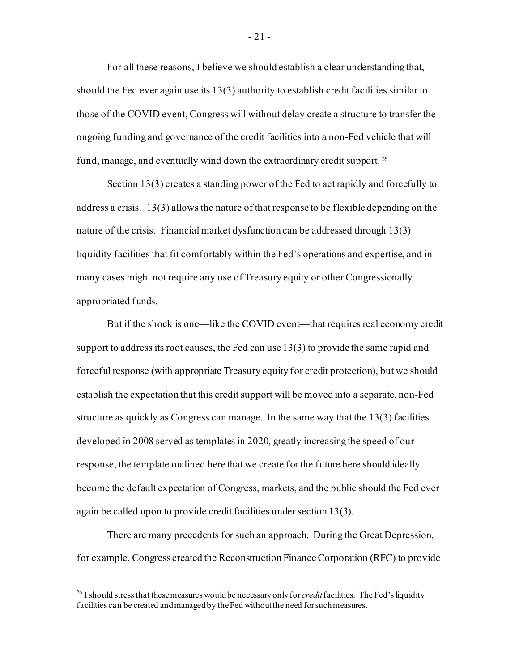For all these reasons, I believe we should establish a clear understanding that, should the Fed ever again use its 13(3) authority to establish credit facilities similar to those of the COVID event, Congress will without delay create a structure to transfer the ongoing funding and governance of the credit facilities into a non-Fed vehicle that will fund, manage, and eventually wind down the extraordinary credit support. [26](#page-21-0) 

Section 13(3) creates a standing power of the Fed to act rapidly and forcefully to address a crisis. 13(3) allows the nature of that response to be flexible depending on the nature of the crisis. Financial market dysfunction can be addressed through 13(3) liquidity facilities that fit comfortably within the Fed's operations and expertise, and in many cases might not require any use of Treasury equity or other Congressionally appropriated funds.

But if the shock is one—like the COVID event—that requires real economy credit support to address its root causes, the Fed can use 13(3) to provide the same rapid and forceful response (with appropriate Treasury equity for credit protection), but we should establish the expectation that this credit support will be moved into a separate, non-Fed structure as quickly as Congress can manage. In the same way that the 13(3) facilities developed in 2008 served as templates in 2020, greatly increasing the speed of our response, the template outlined here that we create for the future here should ideally become the default expectation of Congress, markets, and the public should the Fed ever again be called upon to provide credit facilities under section 13(3).

There are many precedents for such an approach. During the Great Depression, for example, Congress created the Reconstruction Finance Corporation (RFC) to provide

<span id="page-21-0"></span><sup>&</sup>lt;sup>26</sup> I should stress that these measures would be necessary only for *credit* facilities. The Fed's liquidity facilities can be created and managed by the Fed without the need for such measures.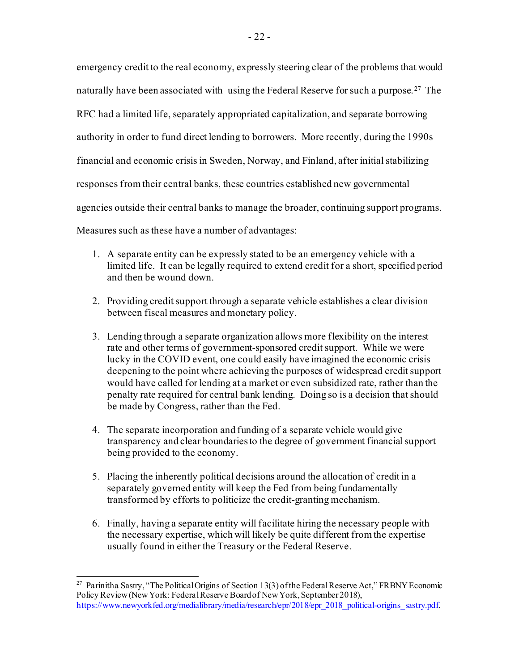emergency credit to the real economy, expressly steering clear of the problems that would naturally have been associated with using the Federal Reserve for such a purpose.<sup>27</sup> The RFC had a limited life, separately appropriated capitalization, and separate borrowing authority in order to fund direct lending to borrowers. More recently, during the 1990s financial and economic crisis in Sweden, Norway, and Finland, after initial stabilizing responses from their central banks, these countries established new governmental agencies outside their central banks to manage the broader, continuing support programs. Measures such as these have a number of advantages:

- 1. A separate entity can be expressly stated to be an emergency vehicle with a limited life. It can be legally required to extend credit for a short, specified period and then be wound down.
- 2. Providing credit support through a separate vehicle establishes a clear division between fiscal measures and monetary policy.
- 3. Lending through a separate organization allows more flexibility on the interest rate and other terms of government-sponsored credit support. While we were lucky in the COVID event, one could easily have imagined the economic crisis deepening to the point where achieving the purposes of widespread credit support would have called for lending at a market or even subsidized rate, rather than the penalty rate required for central bank lending. Doing so is a decision that should be made by Congress, rather than the Fed.
- 4. The separate incorporation and funding of a separate vehicle would give transparency and clear boundaries to the degree of government financial support being provided to the economy.
- 5. Placing the inherently political decisions around the allocation of credit in a separately governed entity will keep the Fed from being fundamentally transformed by efforts to politicize the credit-granting mechanism.
- 6. Finally, having a separate entity will facilitate hiring the necessary people with the necessary expertise, which will likely be quite different from the expertise usually found in either the Treasury or the Federal Reserve.

<span id="page-22-0"></span><sup>&</sup>lt;sup>27</sup> Parinitha Sastry, "The Political Origins of Section 13(3) of the Federal Reserve Act," FRBNY Economic Policy Review(New York: Federal Reserve Board of New York, September 2018), [https://www.newyorkfed.org/medialibrary/media/research/epr/2018/epr\\_2018\\_political-origins\\_sastry.pdf](https://www.newyorkfed.org/medialibrary/media/research/epr/2018/epr_2018_political-origins_sastry.pdf)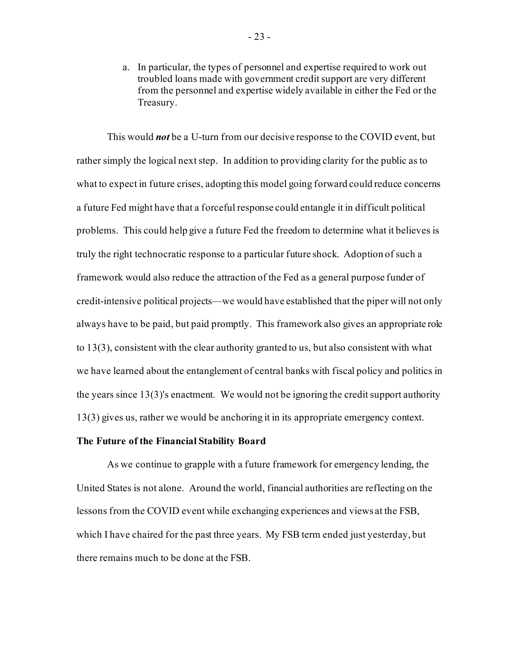a. In particular, the types of personnel and expertise required to work out troubled loans made with government credit support are very different from the personnel and expertise widely available in either the Fed or the Treasury.

This would *not* be a U-turn from our decisive response to the COVID event, but rather simply the logical next step. In addition to providing clarity for the public as to what to expect in future crises, adopting this model going forward could reduce concerns a future Fed might have that a forceful response could entangle it in difficult political problems. This could help give a future Fed the freedom to determine what it believes is truly the right technocratic response to a particular future shock. Adoption of such a framework would also reduce the attraction of the Fed as a general purpose funder of credit-intensive political projects—we would have established that the piper will not only always have to be paid, but paid promptly. This framework also gives an appropriate role to 13(3), consistent with the clear authority granted to us, but also consistent with what we have learned about the entanglement of central banks with fiscal policy and politics in the years since 13(3)'s enactment. We would not be ignoring the credit support authority 13(3) gives us, rather we would be anchoring it in its appropriate emergency context.

#### **The Future of the Financial Stability Board**

As we continue to grapple with a future framework for emergency lending, the United States is not alone. Around the world, financial authorities are reflecting on the lessons from the COVID event while exchanging experiences and views at the FSB, which I have chaired for the past three years. My FSB term ended just yesterday, but there remains much to be done at the FSB.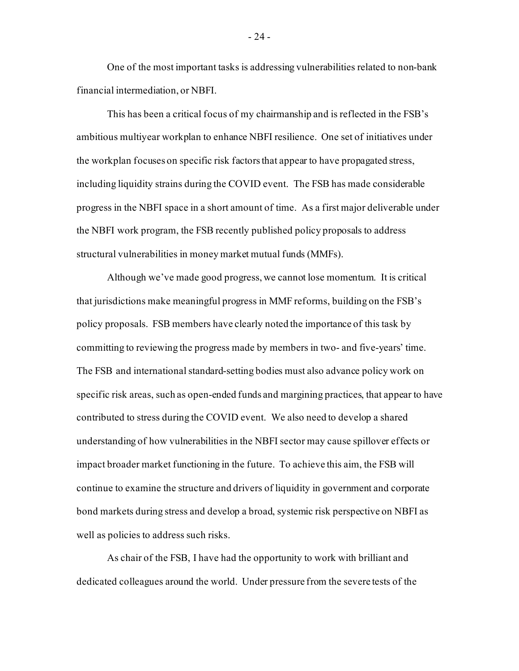One of the most important tasks is addressing vulnerabilities related to non-bank financial intermediation, or NBFI.

This has been a critical focus of my chairmanship and is reflected in the FSB's ambitious multiyear workplan to enhance NBFI resilience. One set of initiatives under the workplan focuses on specific risk factors that appear to have propagated stress, including liquidity strains during the COVID event. The FSB has made considerable progress in the NBFI space in a short amount of time. As a first major deliverable under the NBFI work program, the FSB recently published policy proposals to address structural vulnerabilities in money market mutual funds (MMFs).

Although we've made good progress, we cannot lose momentum. It is critical that jurisdictions make meaningful progress in MMF reforms, building on the FSB's policy proposals. FSB members have clearly noted the importance of this task by committing to reviewing the progress made by members in two- and five-years' time. The FSB and international standard-setting bodies must also advance policy work on specific risk areas, such as open-ended funds and margining practices, that appear to have contributed to stress during the COVID event. We also need to develop a shared understanding of how vulnerabilities in the NBFI sector may cause spillover effects or impact broader market functioning in the future. To achieve this aim, the FSB will continue to examine the structure and drivers of liquidity in government and corporate bond markets during stress and develop a broad, systemic risk perspective on NBFI as well as policies to address such risks.

As chair of the FSB, I have had the opportunity to work with brilliant and dedicated colleagues around the world. Under pressure from the severe tests of the

- 24 -